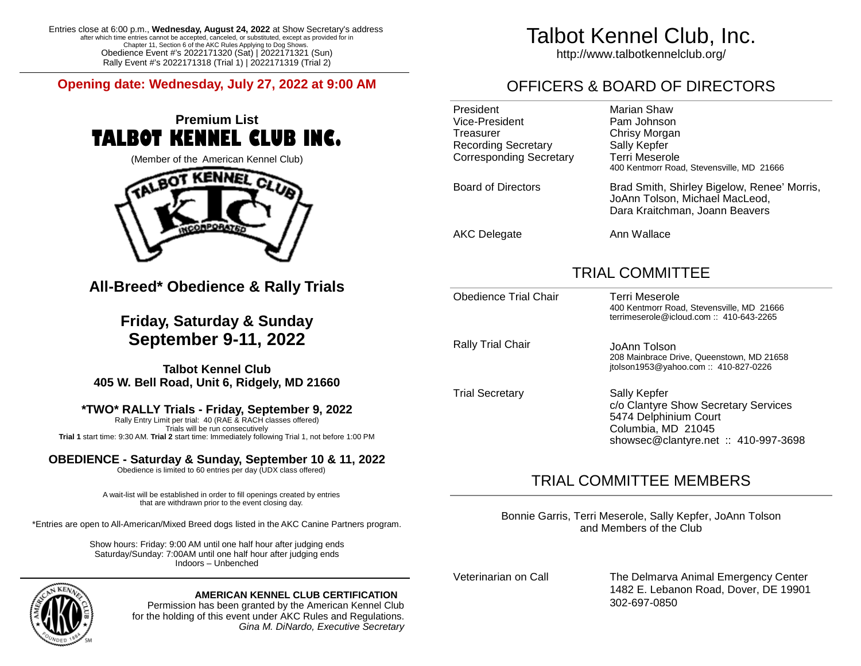Entries close at 6:00 p.m., **Wednesday, August 24, 2022** at Show Secretary's address after which time entries cannot be accepted, canceled, or substituted, except as provided for in Chapter 11, Section 6 of the AKC Rules Applying to Dog Shows. Obedience Event #'s 2022171320 (Sat) | 2022171321 (Sun) Rally Event #'s 2022171318 (Trial 1) | 2022171319 (Trial 2)

**Opening date: Wednesday, July 27, 2022 at 9:00 AM**

## **Premium List TALBOT KENNEL CLUB INC.**





**All-Breed\* Obedience & Rally Trials**

**Friday, Saturday & Sunday September 9-11, 2022**

**Talbot Kennel Club 405 W. Bell Road, Unit 6, Ridgely, MD 21660**

### **\*TWO\* RALLY Trials - Friday, September 9, 2022**

Rally Entry Limit per trial: 40 (RAE & RACH classes offered) Trials will be run consecutively **Trial 1** start time: 9:30 AM. **Trial 2** start time: Immediately following Trial 1, not before 1:00 PM

### **OBEDIENCE - Saturday & Sunday, September 10 & 11, 2022**

Obedience is limited to 60 entries per day (UDX class offered)

A wait-list will be established in order to fill openings created by entries that are withdrawn prior to the event closing day.

\*Entries are open to All-American/Mixed Breed dogs listed in the AKC Canine Partners program.

Show hours: Friday: 9:00 AM until one half hour after judging ends Saturday/Sunday: 7:00AM until one half hour after judging ends Indoors – Unbenched



### **AMERICAN KENNEL CLUB CERTIFICATION**

Permission has been granted by the American Kennel Club for the holding of this event under AKC Rules and Regulations. *Gina M. DiNardo, Executive Secretary*

# Talbot Kennel Club, Inc.

http://www.talbotkennelclub.org/

## OFFICERS & BOARD OF DIRECTORS

| President<br>Vice-President<br>Treasurer<br><b>Recording Secretary</b><br>Corresponding Secretary | Marian Shaw<br>Pam Johnson<br>Chrisy Morgan<br>Sally Kepfer<br>Terri Meserole<br>400 Kentmorr Road, Stevensville, MD 21666 |
|---------------------------------------------------------------------------------------------------|----------------------------------------------------------------------------------------------------------------------------|
| <b>Board of Directors</b>                                                                         | Brad Smith, Shirley Bigelow, Renee' Morris,<br>JoAnn Tolson, Michael MacLeod,<br>Dara Kraitchman, Joann Beavers            |
| <b>AKC Delegate</b>                                                                               | Ann Wallace                                                                                                                |

### TRIAL COMMITTEE

| Obedience Trial Chair  | Terri Meserole<br>400 Kentmorr Road, Stevensville, MD 21666<br>terrimeserole@icloud.com: $1410-643-2265$                                    |
|------------------------|---------------------------------------------------------------------------------------------------------------------------------------------|
| Rally Trial Chair      | JoAnn Tolson<br>208 Mainbrace Drive, Queenstown, MD 21658<br>itolson1953@yahoo.com:: 410-827-0226                                           |
| <b>Trial Secretary</b> | Sally Kepfer<br>c/o Clantyre Show Secretary Services<br>5474 Delphinium Court<br>Columbia, MD 21045<br>showsec@clantyre.net :: 410-997-3698 |

### TRIAL COMMITTEE MEMBERS

Bonnie Garris, Terri Meserole, Sally Kepfer, JoAnn Tolson and Members of the Club

Veterinarian on Call The Delmarva Animal Emergency Center 1482 E. Lebanon Road, Dover, DE 19901 302-697-0850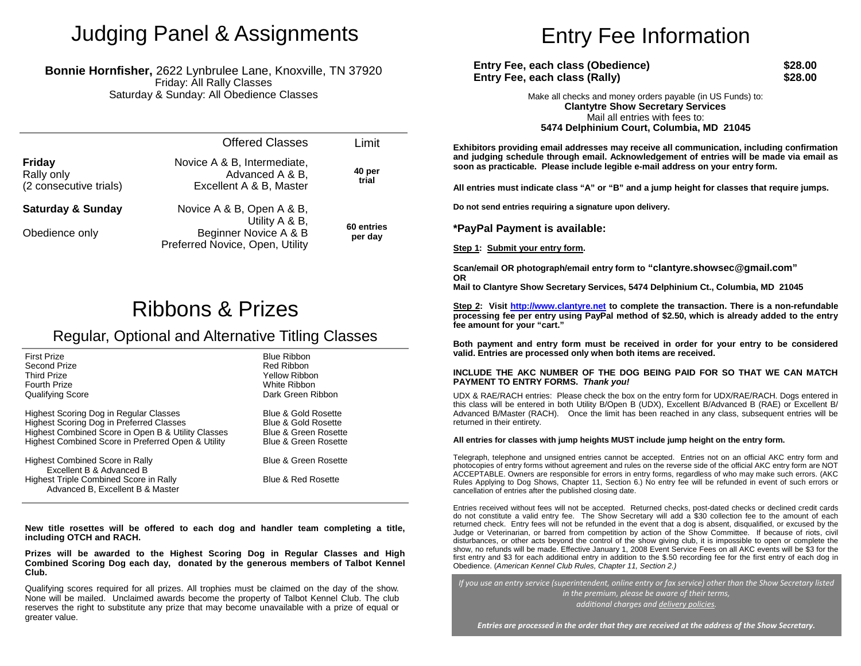## Judging Panel & Assignments

#### **Bonnie Hornfisher,** 2622 Lynbrulee Lane, Knoxville, TN 37920 Friday: All Rally Classes Saturday & Sunday: All Obedience Classes

|                                                       | <b>Offered Classes</b>                                                     | Limit                 |
|-------------------------------------------------------|----------------------------------------------------------------------------|-----------------------|
| <b>Friday</b><br>Rally only<br>(2 consecutive trials) | Novice A & B, Intermediate,<br>Advanced A & B,<br>Excellent A & B, Master  | 40 per<br>trial       |
| <b>Saturday &amp; Sunday</b>                          | Novice A & B, Open A & B,                                                  |                       |
| Obedience only                                        | Utility A & B,<br>Beginner Novice A & B<br>Preferred Novice, Open, Utility | 60 entries<br>per day |

## Ribbons & Prizes

### Regular, Optional and Alternative Titling Classes

| <b>First Prize</b>                                                         | <b>Blue Ribbon</b>              |
|----------------------------------------------------------------------------|---------------------------------|
| Second Prize                                                               | Red Ribbon                      |
| <b>Third Prize</b>                                                         | Yellow Ribbon                   |
| <b>Fourth Prize</b>                                                        | White Ribbon                    |
| Qualifying Score                                                           | Dark Green Ribbon               |
| Highest Scoring Dog in Regular Classes                                     | Blue & Gold Rosette             |
| Highest Scoring Dog in Preferred Classes                                   | Blue & Gold Rosette             |
| Highest Combined Score in Open B & Utility Classes                         | <b>Blue &amp; Green Rosette</b> |
| Highest Combined Score in Preferred Open & Utility                         | <b>Blue &amp; Green Rosette</b> |
| Highest Combined Score in Rally<br>Excellent B & Advanced B                | <b>Blue &amp; Green Rosette</b> |
| Highest Triple Combined Score in Rally<br>Advanced B, Excellent B & Master | <b>Blue &amp; Red Rosette</b>   |

**New title rosettes will be offered to each dog and handler team completing a title, including OTCH and RACH.**

**Prizes will be awarded to the Highest Scoring Dog in Regular Classes and High Combined Scoring Dog each day, donated by the generous members of Talbot Kennel Club.**

Qualifying scores required for all prizes. All trophies must be claimed on the day of the show. None will be mailed. Unclaimed awards become the property of Talbot Kennel Club. The club reserves the right to substitute any prize that may become unavailable with a prize of equal or greater value.

# Entry Fee Information

| Entry Fee, each class (Obedience) | \$28.00 |
|-----------------------------------|---------|
| Entry Fee, each class (Rally)     | \$28.00 |

Make all checks and money orders payable (in US Funds) to: **Clantytre Show Secretary Services** Mail all entries with fees to: **5474 Delphinium Court, Columbia, MD 21045**

**Exhibitors providing email addresses may receive all communication, including confirmation and judging schedule through email. Acknowledgement of entries will be made via email as soon as practicable. Please include legible e-mail address on your entry form.**

**All entries must indicate class "A" or "B" and a jump height for classes that require jumps.**

**Do not send entries requiring a signature upon delivery.**

**\*PayPal Payment is available:**

**Step 1: Submit your entry form.**

**Scan/email OR photograph/email entry form to "clantyre.showsec@gmail.com" OR**

**Mail to Clantyre Show Secretary Services, 5474 Delphinium Ct., Columbia, MD 21045**

**Step 2: Visit http://www.clantyre.net to complete the transaction. There is a non-refundable processing fee per entry using PayPal method of \$2.50, which is already added to the entry fee amount for your "cart."**

**Both payment and entry form must be received in order for your entry to be considered valid. Entries are processed only when both items are received.**

#### **INCLUDE THE AKC NUMBER OF THE DOG BEING PAID FOR SO THAT WE CAN MATCH PAYMENT TO ENTRY FORMS.** *Thank you!*

UDX & RAE/RACH entries: Please check the box on the entry form for UDX/RAE/RACH. Dogs entered in this class will be entered in both Utility B/Open B (UDX), Excellent B/Advanced B (RAE) or Excellent B/ Advanced B/Master (RACH). Once the limit has been reached in any class, subsequent entries will be returned in their entirety.

#### **All entries for classes with jump heights MUST include jump height on the entry form.**

Telegraph, telephone and unsigned entries cannot be accepted. Entries not on an official AKC entry form and photocopies of entry forms without agreement and rules on the reverse side of the official AKC entry form are NOT ACCEPTABLE. Owners are responsible for errors in entry forms, regardless of who may make such errors. (AKC Rules Applying to Dog Shows, Chapter 11, Section 6.) No entry fee will be refunded in event of such errors or cancellation of entries after the published closing date.

Entries received without fees will not be accepted. Returned checks, post-dated checks or declined credit cards do not constitute a valid entry fee. The Show Secretary will add a \$30 collection fee to the amount of each returned check. Entry fees will not be refunded in the event that a dog is absent, disqualified, or excused by the Judge or Veterinarian, or barred from competition by action of the Show Committee. If because of riots, civil disturbances, or other acts beyond the control of the show giving club, it is impossible to open or complete the show, no refunds will be made. Effective January 1, 2008 Event Service Fees on all AKC events will be \$3 for the first entry and \$3 for each additional entry in addition to the \$.50 recording fee for the first entry of each dog in Obedience. (*American Kennel Club Rules, Chapter 11, Section 2.)*

*If you use an entry service (superintendent, online entry or fax service) other than the Show Secretary listed in the premium, please be aware of their terms, addional charges and delivery policies.*

*Entries are processed in the order that they are received at the address of the Show Secretary.*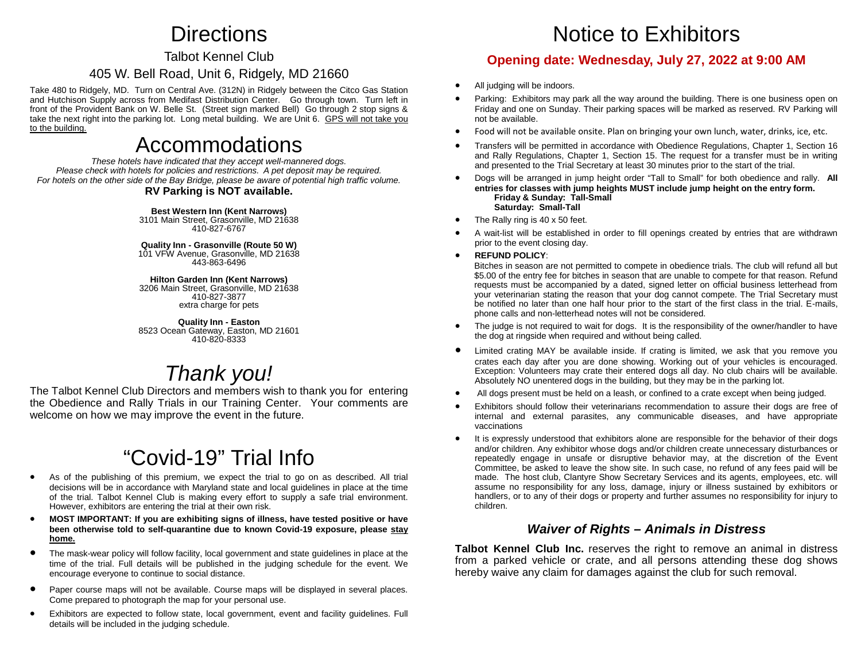## **Directions**

### Talbot Kennel Club

### 405 W. Bell Road, Unit 6, Ridgely, MD 21660

Take 480 to Ridgely, MD. Turn on Central Ave. (312N) in Ridgely between the Citco Gas Station and Hutchison Supply across from Medifast Distribution Center. Go through town. Turn left in front of the Provident Bank on W. Belle St. (Street sign marked Bell) Go through 2 stop signs & take the next right into the parking lot. Long metal building. We are Unit 6. GPS will not take you to the building.

## Accommodations

*These hotels have indicated that they accept well-mannered dogs. Please check with hotels for policies and restrictions. A pet deposit may be required. For hotels on the other side of the Bay Bridge, please be aware of potential high traffic volume.*

#### **RV Parking is NOT available.**

**Best Western Inn (Kent Narrows)** 3101 Main Street, Grasonville, MD 21638 410-827-6767

**Quality Inn - Grasonville (Route 50 W)** 101 VFW Avenue, Grasonville, MD 21638 443-863-6496

#### **Hilton Garden Inn (Kent Narrows)**

3206 Main Street, Grasonville, MD 21638 410-827-3877 extra charge for pets

**Quality Inn - Easton** 8523 Ocean Gateway, Easton, MD 21601 410-820-8333

## *Thank you!*

The Talbot Kennel Club Directors and members wish to thank you for entering the Obedience and Rally Trials in our Training Center. Your comments are welcome on how we may improve the event in the future.

# "Covid-19" Trial Info

- As of the publishing of this premium, we expect the trial to go on as described. All trial decisions will be in accordance with Maryland state and local guidelines in place at the time of the trial. Talbot Kennel Club is making every effort to supply a safe trial environment. However, exhibitors are entering the trial at their own risk.
- **MOST IMPORTANT: If you are exhibiting signs of illness, have tested positive or have been otherwise told to self-quarantine due to known Covid-19 exposure, please stay home.**
- The mask-wear policy will follow facility, local government and state guidelines in place at the time of the trial. Full details will be published in the judging schedule for the event. We encourage everyone to continue to social distance.
- Paper course maps will not be available. Course maps will be displayed in several places. Come prepared to photograph the map for your personal use.
- Exhibitors are expected to follow state, local government, event and facility guidelines. Full details will be included in the judging schedule.

## Notice to Exhibitors

### **Opening date: Wednesday, July 27, 2022 at 9:00 AM**

- All judging will be indoors.
- Parking: Exhibitors may park all the way around the building. There is one business open on Friday and one on Sunday. Their parking spaces will be marked as reserved. RV Parking will not be available.
- Food will not be available onsite. Plan on bringing your own lunch, water, drinks, ice, etc.
- Transfers will be permitted in accordance with Obedience Regulations, Chapter 1, Section 16 and Rally Regulations, Chapter 1, Section 15. The request for a transfer must be in writing and presented to the Trial Secretary at least 30 minutes prior to the start of the trial.
- Dogs will be arranged in jump height order "Tall to Small" for both obedience and rally. **All entries for classes with jump heights MUST include jump height on the entry form. Friday & Sunday: Tall-Small Saturday: Small-Tall**
- The Rally ring is 40 x 50 feet.
- A wait-list will be established in order to fill openings created by entries that are withdrawn prior to the event closing day.
- **REFUND POLICY**:

Bitches in season are not permitted to compete in obedience trials. The club will refund all but \$5.00 of the entry fee for bitches in season that are unable to compete for that reason. Refund requests must be accompanied by a dated, signed letter on official business letterhead from your veterinarian stating the reason that your dog cannot compete. The Trial Secretary must be notified no later than one half hour prior to the start of the first class in the trial. E-mails, phone calls and non-letterhead notes will not be considered.

- The judge is not required to wait for dogs. It is the responsibility of the owner/handler to have the dog at ringside when required and without being called.
- Limited crating MAY be available inside. If crating is limited, we ask that you remove you crates each day after you are done showing. Working out of your vehicles is encouraged. Exception: Volunteers may crate their entered dogs all day. No club chairs will be available. Absolutely NO unentered dogs in the building, but they may be in the parking lot.
- All dogs present must be held on a leash, or confined to a crate except when being judged.
- Exhibitors should follow their veterinarians recommendation to assure their dogs are free of internal and external parasites, any communicable diseases, and have appropriate vaccinations
- It is expressly understood that exhibitors alone are responsible for the behavior of their dogs and/or children. Any exhibitor whose dogs and/or children create unnecessary disturbances or repeatedly engage in unsafe or disruptive behavior may, at the discretion of the Event Committee, be asked to leave the show site. In such case, no refund of any fees paid will be made. The host club, Clantyre Show Secretary Services and its agents, employees, etc. will assume no responsibility for any loss, damage, injury or illness sustained by exhibitors or handlers, or to any of their dogs or property and further assumes no responsibility for injury to children.

### *Waiver of Rights – Animals in Distress*

**Talbot Kennel Club Inc.** reserves the right to remove an animal in distress from a parked vehicle or crate, and all persons attending these dog shows hereby waive any claim for damages against the club for such removal.